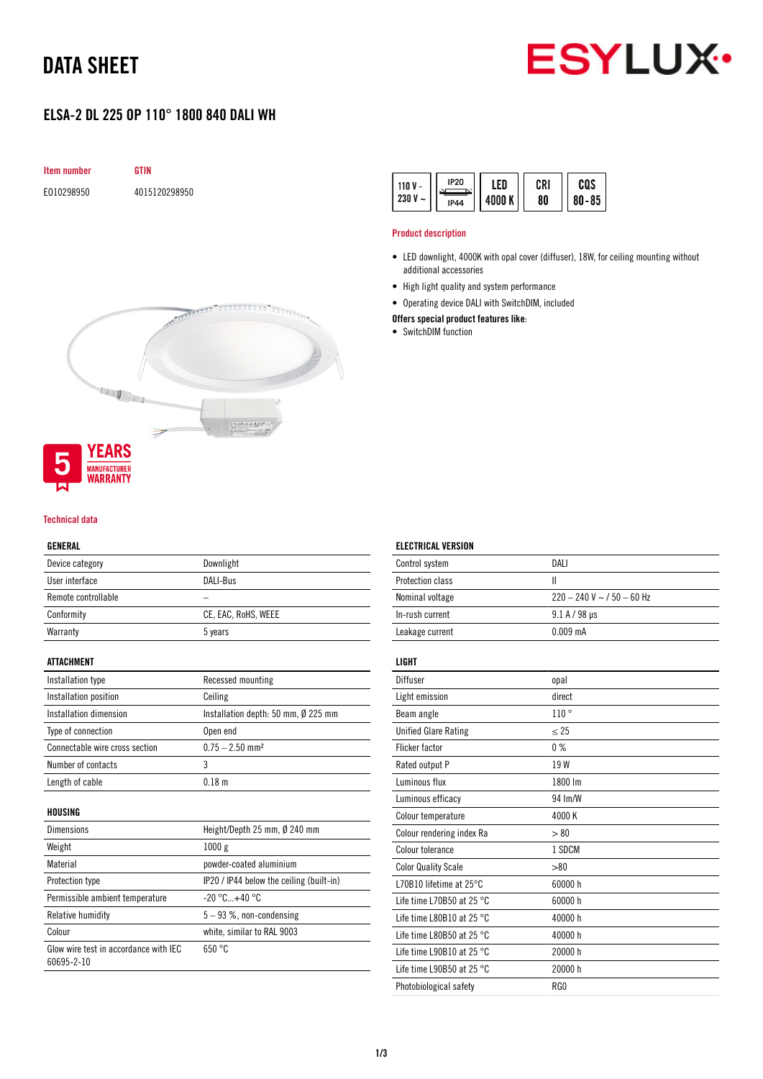# DATA SHEET



## ELSA-2 DL 225 OP 110° 1800 840 DALI WH



| <b>IP20</b><br>11N V<br>230 V<br>$\tilde{}$<br><b>IP44</b> | FN<br>nnn k | CRI<br>80 | cos<br>$80 - 85$ |  |
|------------------------------------------------------------|-------------|-----------|------------------|--|
|------------------------------------------------------------|-------------|-----------|------------------|--|

### Product description

- LED downlight, 4000K with opal cover (diffuser), 18W, for ceiling mounting without additional accessories
- High light quality and system performance
- Operating device DALI with SwitchDIM, included

## Offers special product features like:

• SwitchDIM function



### Technical data

#### GENERAL

| Device category     | Downlight           |
|---------------------|---------------------|
| User interface      | DALI-Bus            |
| Remote controllable |                     |
| Conformity          | CE, EAC, RoHS, WEEE |
| Warranty            | 5 years             |

### ATTACHMENT

| Installation type              | Recessed mounting                             |
|--------------------------------|-----------------------------------------------|
| Installation position          | Ceiling                                       |
| Installation dimension         | Installation depth: 50 mm, $\emptyset$ 225 mm |
| Type of connection             | Open end                                      |
| Connectable wire cross section | $0.75 - 2.50$ mm <sup>2</sup>                 |
| Number of contacts             |                                               |
| Length of cable                | 0 18 m                                        |

#### HOUSING

| <b>Dimensions</b>                                   | Height/Depth 25 mm, Ø 240 mm             |
|-----------------------------------------------------|------------------------------------------|
| Weight                                              | 1000 g                                   |
| Material                                            | powder-coated aluminium                  |
| Protection type                                     | IP20 / IP44 below the ceiling (built-in) |
| Permissible ambient temperature                     | $-20 °C+40 °C$                           |
| Relative humidity                                   | $5 - 93$ %, non-condensing               |
| Colour                                              | white, similar to RAL 9003               |
| Glow wire test in accordance with IEC<br>60695-2-10 | 650 °C                                   |

## ELECTRICAL VERSION

| Control system                      | DALI                             |
|-------------------------------------|----------------------------------|
| Protection class                    | Ш                                |
| Nominal voltage                     | $220 - 240$ V ~ $/$ 50 $-$ 60 Hz |
| In-rush current                     | $9.1 A / 98 \mu s$               |
| Leakage current                     | $0.009$ mA                       |
|                                     |                                  |
| LIGHT                               |                                  |
| Diffuser                            | opal                             |
| Light emission                      | direct                           |
| Beam angle                          | 110°                             |
| <b>Unified Glare Rating</b>         | $\leq$ 25                        |
| <b>Flicker factor</b>               | 0%                               |
| Rated output P                      | 19 W                             |
| Luminous flux                       | 1800 lm                          |
| Luminous efficacy                   | 94 Im/W                          |
| Colour temperature                  | 4000 K                           |
| Colour rendering index Ra           | > 80                             |
| Colour tolerance                    | 1 SDCM                           |
| <b>Color Quality Scale</b>          | > 80                             |
| L70B10 lifetime at 25°C             | 60000 h                          |
| Life time L70B50 at 25 $^{\circ}$ C | 60000 h                          |
| Life time L80B10 at 25 °C           | 40000 h                          |
| Life time L80B50 at 25 °C           | 40000 h                          |
| Life time L90B10 at 25 $^{\circ}$ C | 20000 h                          |
| Life time L90B50 at 25 $^{\circ}$ C | 20000 h                          |
| Photobiological safety              | RG <sub>0</sub>                  |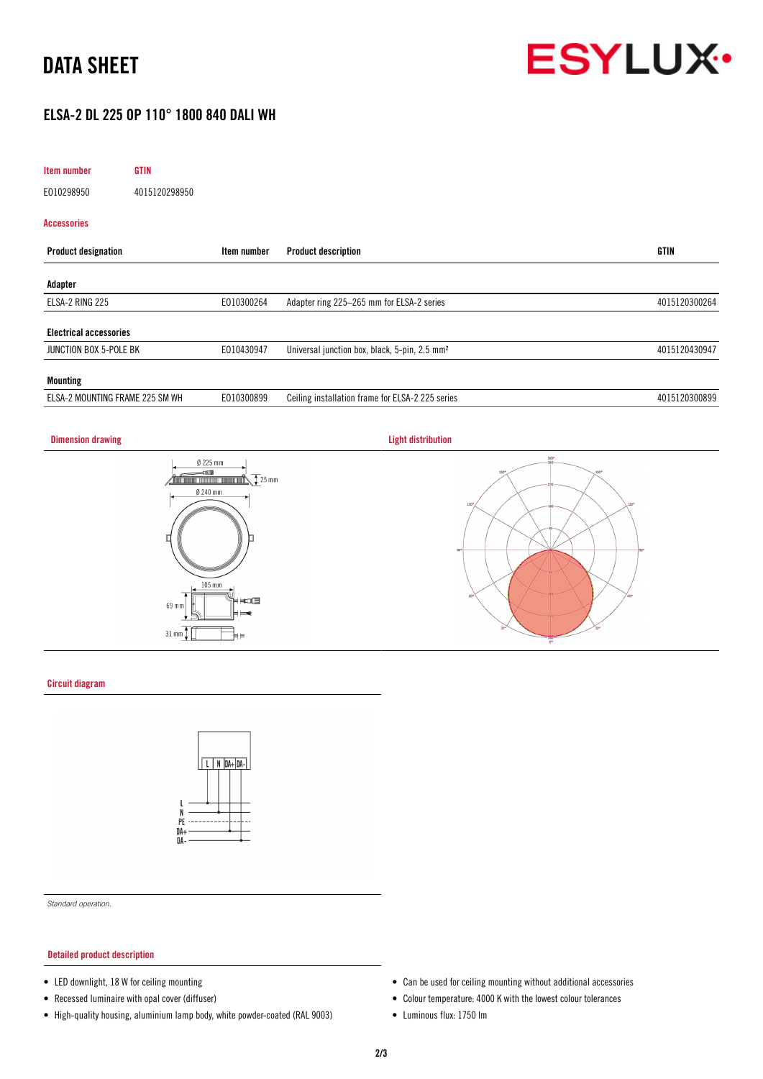# DATA SHEET



## ELSA-2 DL 225 OP 110° 1800 840 DALI WH

| Item number<br><b>GTIN</b>      |               |                                                           |               |
|---------------------------------|---------------|-----------------------------------------------------------|---------------|
| E010298950                      | 4015120298950 |                                                           |               |
| Accessories                     |               |                                                           |               |
| <b>Product designation</b>      | Item number   | <b>Product description</b>                                | GTIN          |
| Adapter                         |               |                                                           |               |
| ELSA-2 RING 225                 | E010300264    | Adapter ring 225-265 mm for ELSA-2 series                 | 4015120300264 |
| <b>Electrical accessories</b>   |               |                                                           |               |
| JUNCTION BOX 5-POLE BK          | E010430947    | Universal junction box, black, 5-pin, 2.5 mm <sup>2</sup> | 4015120430947 |
| <b>Mounting</b>                 |               |                                                           |               |
| ELSA-2 MOUNTING FRAME 225 SM WH | E010300899    | Ceiling installation frame for ELSA-2 225 series          | 4015120300899 |

## **Dimension drawing Community Community Community Community Community Community Community Community Community Community**







### Circuit diagram



*Standard operation.*

### Detailed product description

- LED downlight, 18 W for ceiling mounting
- Recessed luminaire with opal cover (diffuser)
- High-quality housing, aluminium lamp body, white powder-coated (RAL 9003)
- Can be used for ceiling mounting without additional accessories
- Colour temperature: 4000 K with the lowest colour tolerances
- Luminous flux: 1750 lm